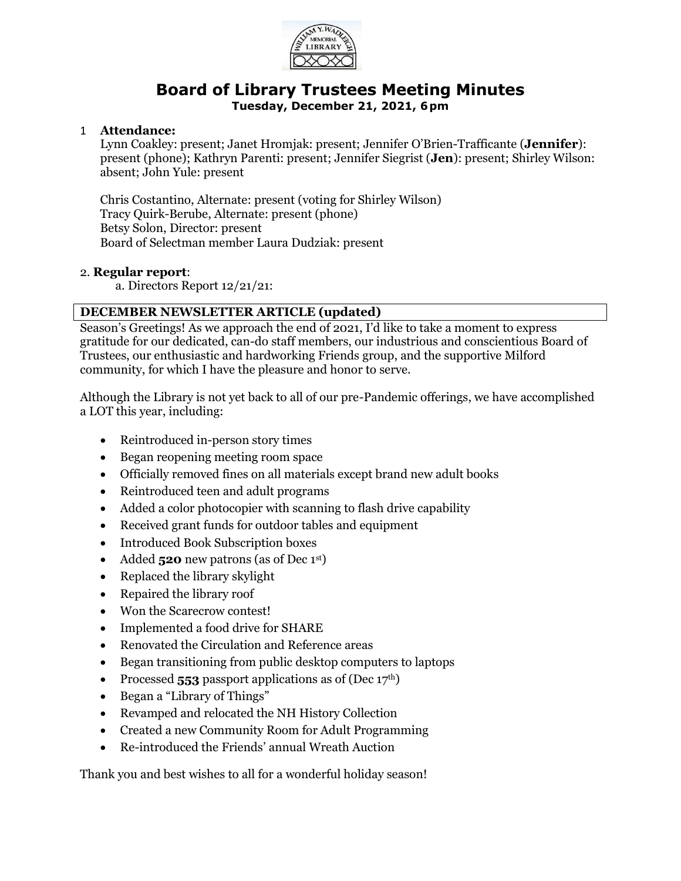

# **Board of Library Trustees Meeting Minutes**

**Tuesday, December 21, 2021, 6pm**

## 1 **Attendance:**

Lynn Coakley: present; Janet Hromjak: present; Jennifer O'Brien-Trafficante (**Jennifer**): present (phone); Kathryn Parenti: present; Jennifer Siegrist (**Jen**): present; Shirley Wilson: absent; John Yule: present

Chris Costantino, Alternate: present (voting for Shirley Wilson) Tracy Quirk-Berube, Alternate: present (phone) Betsy Solon, Director: present Board of Selectman member Laura Dudziak: present

#### 2. **Regular report**:

a. Directors Report 12/21/21:

# **DECEMBER NEWSLETTER ARTICLE (updated)**

Season's Greetings! As we approach the end of 2021, I'd like to take a moment to express gratitude for our dedicated, can-do staff members, our industrious and conscientious Board of Trustees, our enthusiastic and hardworking Friends group, and the supportive Milford community, for which I have the pleasure and honor to serve.

Although the Library is not yet back to all of our pre-Pandemic offerings, we have accomplished a LOT this year, including:

- Reintroduced in-person story times
- Began reopening meeting room space
- Officially removed fines on all materials except brand new adult books
- Reintroduced teen and adult programs
- Added a color photocopier with scanning to flash drive capability
- Received grant funds for outdoor tables and equipment
- Introduced Book Subscription boxes
- Added **520** new patrons (as of Dec 1<sup>st</sup>)
- Replaced the library skylight
- Repaired the library roof
- Won the Scarecrow contest!
- Implemented a food drive for SHARE
- Renovated the Circulation and Reference areas
- Began transitioning from public desktop computers to laptops
- Processed **553** passport applications as of (Dec 17<sup>th</sup>)
- Began a "Library of Things"
- Revamped and relocated the NH History Collection
- Created a new Community Room for Adult Programming
- Re-introduced the Friends' annual Wreath Auction

Thank you and best wishes to all for a wonderful holiday season!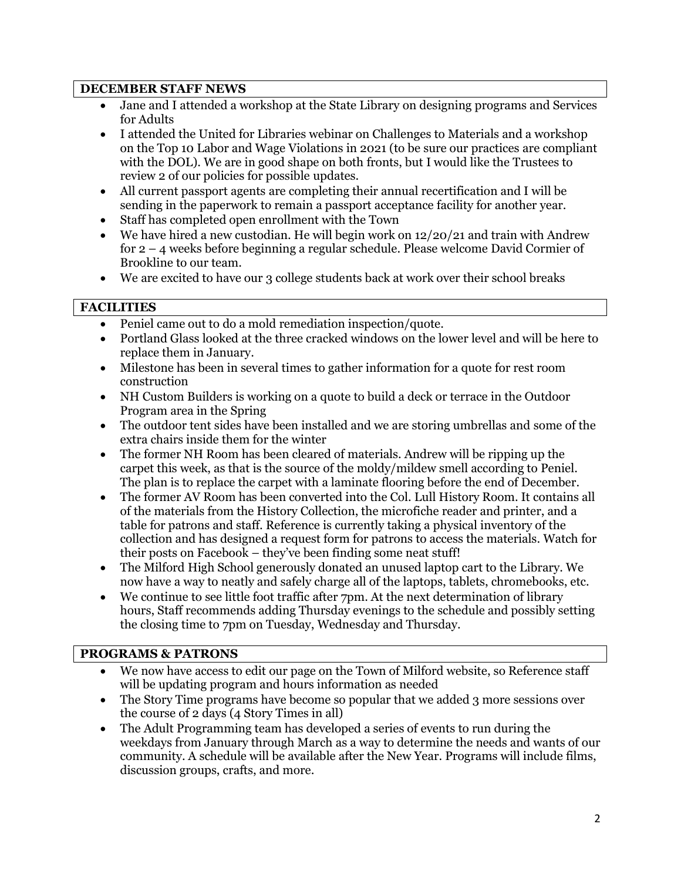## **DECEMBER STAFF NEWS**

- Jane and I attended a workshop at the State Library on designing programs and Services for Adults
- I attended the United for Libraries webinar on Challenges to Materials and a workshop on the Top 10 Labor and Wage Violations in 2021 (to be sure our practices are compliant with the DOL). We are in good shape on both fronts, but I would like the Trustees to review 2 of our policies for possible updates.
- All current passport agents are completing their annual recertification and I will be sending in the paperwork to remain a passport acceptance facility for another year.
- Staff has completed open enrollment with the Town
- We have hired a new custodian. He will begin work on  $12/20/21$  and train with Andrew for 2 – 4 weeks before beginning a regular schedule. Please welcome David Cormier of Brookline to our team.
- We are excited to have our 3 college students back at work over their school breaks

## **FACILITIES**

- Peniel came out to do a mold remediation inspection/quote.
- Portland Glass looked at the three cracked windows on the lower level and will be here to replace them in January.
- Milestone has been in several times to gather information for a quote for rest room construction
- NH Custom Builders is working on a quote to build a deck or terrace in the Outdoor Program area in the Spring
- The outdoor tent sides have been installed and we are storing umbrellas and some of the extra chairs inside them for the winter
- The former NH Room has been cleared of materials. Andrew will be ripping up the carpet this week, as that is the source of the moldy/mildew smell according to Peniel. The plan is to replace the carpet with a laminate flooring before the end of December.
- The former AV Room has been converted into the Col. Lull History Room. It contains all of the materials from the History Collection, the microfiche reader and printer, and a table for patrons and staff. Reference is currently taking a physical inventory of the collection and has designed a request form for patrons to access the materials. Watch for their posts on Facebook – they've been finding some neat stuff!
- The Milford High School generously donated an unused laptop cart to the Library. We now have a way to neatly and safely charge all of the laptops, tablets, chromebooks, etc.
- We continue to see little foot traffic after 7pm. At the next determination of library hours, Staff recommends adding Thursday evenings to the schedule and possibly setting the closing time to 7pm on Tuesday, Wednesday and Thursday.

# **PROGRAMS & PATRONS**

- We now have access to edit our page on the Town of Milford website, so Reference staff will be updating program and hours information as needed
- The Story Time programs have become so popular that we added 3 more sessions over the course of 2 days (4 Story Times in all)
- The Adult Programming team has developed a series of events to run during the weekdays from January through March as a way to determine the needs and wants of our community. A schedule will be available after the New Year. Programs will include films, discussion groups, crafts, and more.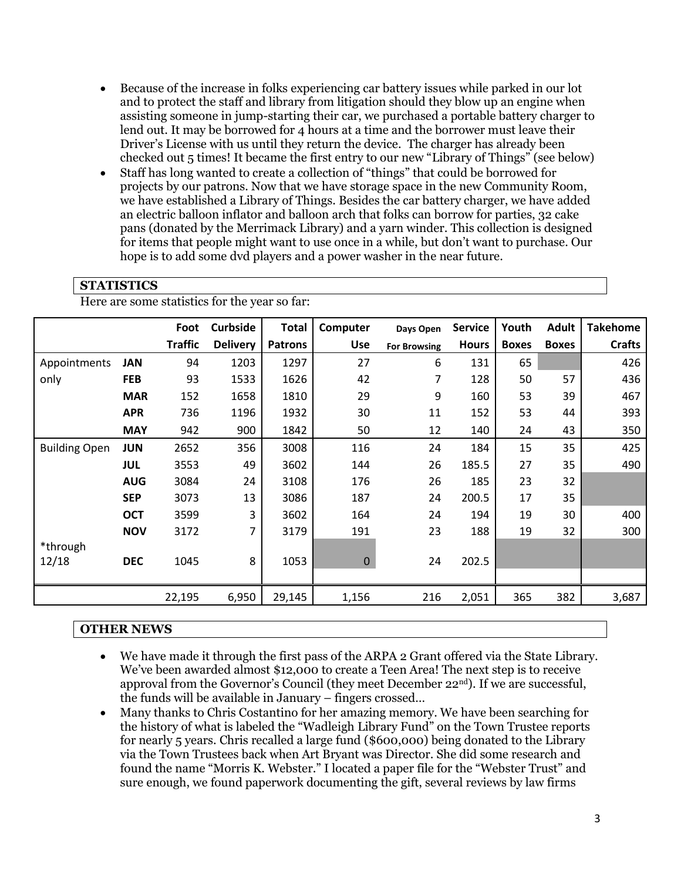- Because of the increase in folks experiencing car battery issues while parked in our lot and to protect the staff and library from litigation should they blow up an engine when assisting someone in jump-starting their car, we purchased a portable battery charger to lend out. It may be borrowed for 4 hours at a time and the borrower must leave their Driver's License with us until they return the device. The charger has already been checked out 5 times! It became the first entry to our new "Library of Things" (see below)
- Staff has long wanted to create a collection of "things" that could be borrowed for projects by our patrons. Now that we have storage space in the new Community Room, we have established a Library of Things. Besides the car battery charger, we have added an electric balloon inflator and balloon arch that folks can borrow for parties, 32 cake pans (donated by the Merrimack Library) and a yarn winder. This collection is designed for items that people might want to use once in a while, but don't want to purchase. Our hope is to add some dvd players and a power washer in the near future.

## **STATISTICS**

Here are some statistics for the year so far:

|                      |            | Foot           | <b>Curbside</b> | <b>Total</b>   | Computer    | Days Open           | <b>Service</b> | Youth        | <b>Adult</b> | <b>Takehome</b> |
|----------------------|------------|----------------|-----------------|----------------|-------------|---------------------|----------------|--------------|--------------|-----------------|
|                      |            | <b>Traffic</b> | <b>Delivery</b> | <b>Patrons</b> | <b>Use</b>  | <b>For Browsing</b> | <b>Hours</b>   | <b>Boxes</b> | <b>Boxes</b> | <b>Crafts</b>   |
| Appointments         | <b>JAN</b> | 94             | 1203            | 1297           | 27          | 6                   | 131            | 65           |              | 426             |
| only                 | <b>FEB</b> | 93             | 1533            | 1626           | 42          | 7                   | 128            | 50           | 57           | 436             |
|                      | <b>MAR</b> | 152            | 1658            | 1810           | 29          | 9                   | 160            | 53           | 39           | 467             |
|                      | <b>APR</b> | 736            | 1196            | 1932           | 30          | 11                  | 152            | 53           | 44           | 393             |
|                      | <b>MAY</b> | 942            | 900             | 1842           | 50          | 12                  | 140            | 24           | 43           | 350             |
| <b>Building Open</b> | <b>JUN</b> | 2652           | 356             | 3008           | 116         | 24                  | 184            | 15           | 35           | 425             |
|                      | JUL        | 3553           | 49              | 3602           | 144         | 26                  | 185.5          | 27           | 35           | 490             |
|                      | <b>AUG</b> | 3084           | 24              | 3108           | 176         | 26                  | 185            | 23           | 32           |                 |
|                      | <b>SEP</b> | 3073           | 13              | 3086           | 187         | 24                  | 200.5          | 17           | 35           |                 |
|                      | <b>OCT</b> | 3599           | 3               | 3602           | 164         | 24                  | 194            | 19           | 30           | 400             |
|                      | <b>NOV</b> | 3172           | 7               | 3179           | 191         | 23                  | 188            | 19           | 32           | 300             |
| *through             |            |                |                 |                |             |                     |                |              |              |                 |
| 12/18                | <b>DEC</b> | 1045           | 8               | 1053           | $\mathbf 0$ | 24                  | 202.5          |              |              |                 |
|                      |            |                |                 |                |             |                     |                |              |              |                 |
|                      |            | 22,195         | 6,950           | 29,145         | 1,156       | 216                 | 2,051          | 365          | 382          | 3,687           |

#### **OTHER NEWS**

- We have made it through the first pass of the ARPA 2 Grant offered via the State Library. We've been awarded almost \$12,000 to create a Teen Area! The next step is to receive approval from the Governor's Council (they meet December  $22<sup>nd</sup>$ ). If we are successful, the funds will be available in January – fingers crossed…
- Many thanks to Chris Costantino for her amazing memory. We have been searching for the history of what is labeled the "Wadleigh Library Fund" on the Town Trustee reports for nearly 5 years. Chris recalled a large fund (\$600,000) being donated to the Library via the Town Trustees back when Art Bryant was Director. She did some research and found the name "Morris K. Webster." I located a paper file for the "Webster Trust" and sure enough, we found paperwork documenting the gift, several reviews by law firms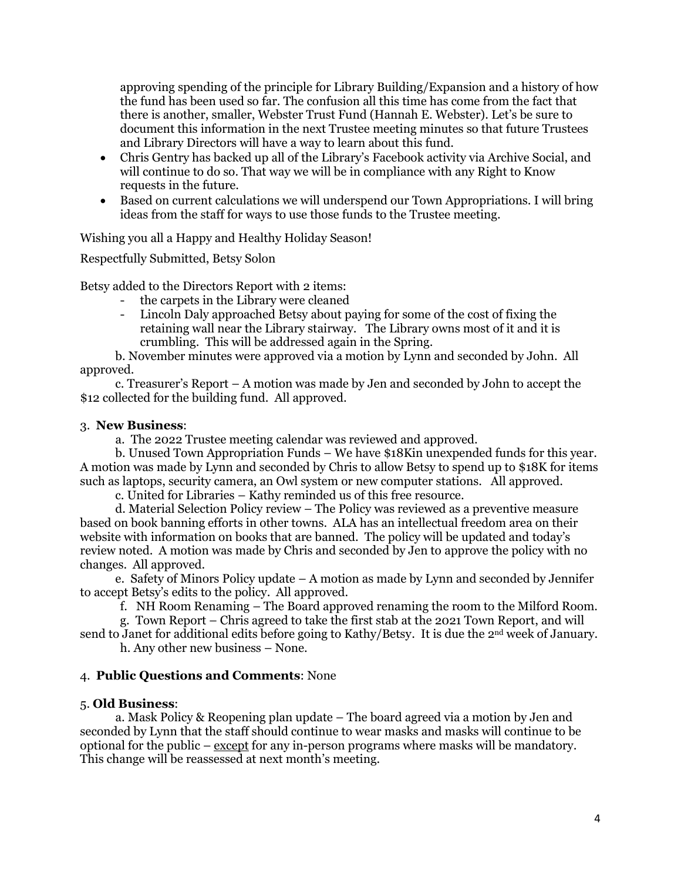approving spending of the principle for Library Building/Expansion and a history of how the fund has been used so far. The confusion all this time has come from the fact that there is another, smaller, Webster Trust Fund (Hannah E. Webster). Let's be sure to document this information in the next Trustee meeting minutes so that future Trustees and Library Directors will have a way to learn about this fund.

- Chris Gentry has backed up all of the Library's Facebook activity via Archive Social, and will continue to do so. That way we will be in compliance with any Right to Know requests in the future.
- Based on current calculations we will underspend our Town Appropriations. I will bring ideas from the staff for ways to use those funds to the Trustee meeting.

Wishing you all a Happy and Healthy Holiday Season!

Respectfully Submitted, Betsy Solon

Betsy added to the Directors Report with 2 items:

- the carpets in the Library were cleaned
- Lincoln Daly approached Betsy about paying for some of the cost of fixing the retaining wall near the Library stairway. The Library owns most of it and it is crumbling. This will be addressed again in the Spring.

 b. November minutes were approved via a motion by Lynn and seconded by John. All approved.

 c. Treasurer's Report – A motion was made by Jen and seconded by John to accept the \$12 collected for the building fund. All approved.

#### 3. **New Business**:

a. The 2022 Trustee meeting calendar was reviewed and approved.

 b. Unused Town Appropriation Funds – We have \$18Kin unexpended funds for this year. A motion was made by Lynn and seconded by Chris to allow Betsy to spend up to \$18K for items such as laptops, security camera, an Owl system or new computer stations. All approved.

c. United for Libraries – Kathy reminded us of this free resource.

 d. Material Selection Policy review – The Policy was reviewed as a preventive measure based on book banning efforts in other towns. ALA has an intellectual freedom area on their website with information on books that are banned. The policy will be updated and today's review noted. A motion was made by Chris and seconded by Jen to approve the policy with no changes. All approved.

 e. Safety of Minors Policy update – A motion as made by Lynn and seconded by Jennifer to accept Betsy's edits to the policy. All approved.

f. NH Room Renaming – The Board approved renaming the room to the Milford Room.

g. Town Report – Chris agreed to take the first stab at the 2021 Town Report, and will send to Janet for additional edits before going to Kathy/Betsy. It is due the 2<sup>nd</sup> week of January.

h. Any other new business – None.

#### 4. **Public Questions and Comments**: None

#### 5. **Old Business**:

 a. Mask Policy & Reopening plan update – The board agreed via a motion by Jen and seconded by Lynn that the staff should continue to wear masks and masks will continue to be optional for the public  $-\frac{except}{}$  for any in-person programs where masks will be mandatory. This change will be reassessed at next month's meeting.